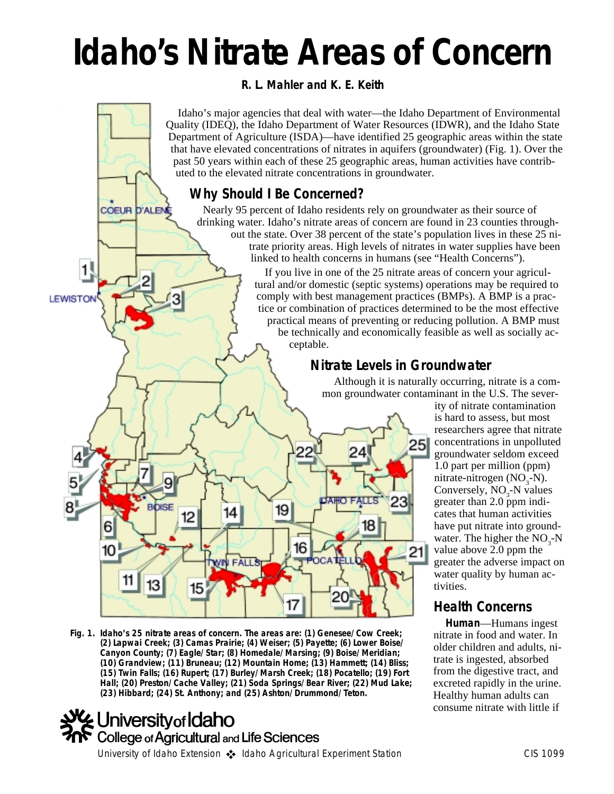# **Idaho's Nitrate Areas of Concern**

*R. L. Mahler and K. E. Keith*

Idaho's major agencies that deal with water—the Idaho Department of Environmental Quality (IDEQ), the Idaho Department of Water Resources (IDWR), and the Idaho State Department of Agriculture (ISDA)—have identified 25 geographic areas within the state that have elevated concentrations of nitrates in aquifers (groundwater) (Fig. 1). Over the past 50 years within each of these 25 geographic areas, human activities have contributed to the elevated nitrate concentrations in groundwater.

# **Why Should I Be Concerned?**

**COEUR D'ALEN** 

1

**LEWISTON** 

Nearly 95 percent of Idaho residents rely on groundwater as their source of drinking water. Idaho's nitrate areas of concern are found in 23 counties throughout the state. Over 38 percent of the state's population lives in these 25 nitrate priority areas. High levels of nitrates in water supplies have been linked to health concerns in humans (see "Health Concerns").

If you live in one of the 25 nitrate areas of concern your agricultural and/or domestic (septic systems) operations may be required to comply with best management practices (BMPs). A BMP is a practice or combination of practices determined to be the most effective practical means of preventing or reducing pollution. A BMP must be technically and economically feasible as well as socially acceptable.

# **Nitrate Levels in Groundwater**

Although it is naturally occurring, nitrate is a common groundwater contaminant in the U.S. The sever-



**Fig. 1. Idaho's 25 nitrate areas of concern. The areas are: (1) Genesee/Cow Creek; (2) Lapwai Creek; (3) Camas Prairie; (4) Weiser; (5) Payette; (6) Lower Boise/ Canyon County; (7) Eagle/Star; (8) Homedale/Marsing; (9) Boise/Meridian; (10) Grandview; (11) Bruneau; (12) Mountain Home; (13) Hammett; (14) Bliss; (15) Twin Falls; (16) Rupert; (17) Burley/Marsh Creek; (18) Pocatello; (19) Fort Hall; (20) Preston/Cache Valley; (21) Soda Springs/Bear River; (22) Mud Lake; (23) Hibbard; (24) St. Anthony; and (25) Ashton/Drummond/Teton.**



ity of nitrate contamination is hard to assess, but most researchers agree that nitrate concentrations in unpolluted groundwater seldom exceed 1.0 part per million (ppm) mitrate-nitrogen (NO<sub>3</sub>-N). Conversely,  $NO<sub>3</sub>$ -N values greater than 2.0 ppm indicates that human activities have put nitrate into groundwater. The higher the  $NO<sub>3</sub>$ -N value above 2.0 ppm the greater the adverse impact on water quality by human activities.

# **Health Concerns**

**Human**—Humans ingest nitrate in food and water. In older children and adults, nitrate is ingested, absorbed from the digestive tract, and excreted rapidly in the urine. Healthy human adults can consume nitrate with little if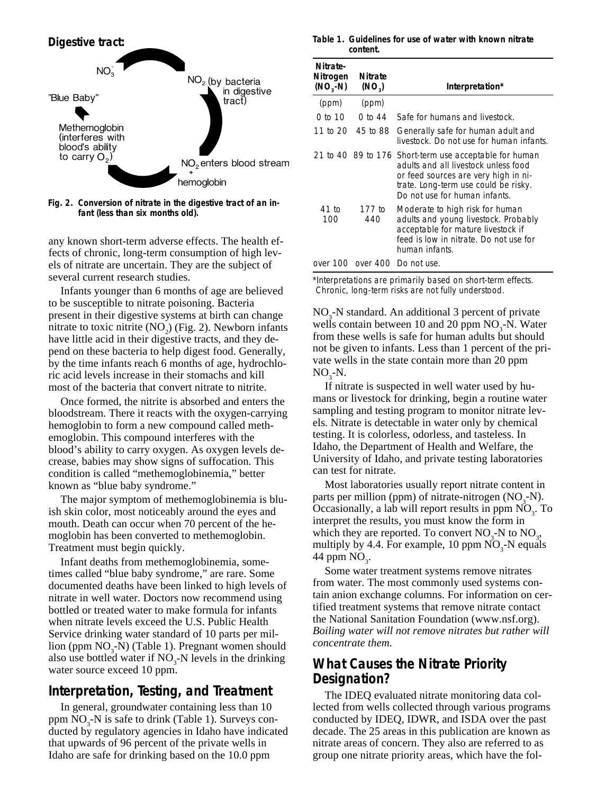

**Fig. 2. Conversion of nitrate in the digestive tract of an infant (less than six months old).**

any known short-term adverse effects. The health effects of chronic, long-term consumption of high levels of nitrate are uncertain. They are the subject of several current research studies.

Infants younger than 6 months of age are believed to be susceptible to nitrate poisoning. Bacteria present in their digestive systems at birth can change mitrate to toxic nitrite  $(NO<sub>2</sub>)$  (Fig. 2). Newborn infants have little acid in their digestive tracts, and they depend on these bacteria to help digest food. Generally, by the time infants reach 6 months of age, hydrochloric acid levels increase in their stomachs and kill most of the bacteria that convert nitrate to nitrite.

Once formed, the nitrite is absorbed and enters the bloodstream. There it reacts with the oxygen-carrying hemoglobin to form a new compound called methemoglobin. This compound interferes with the blood's ability to carry oxygen. As oxygen levels decrease, babies may show signs of suffocation. This condition is called "methemoglobinemia," better known as "blue baby syndrome."

The major symptom of methemoglobinemia is bluish skin color, most noticeably around the eyes and mouth. Death can occur when 70 percent of the hemoglobin has been converted to methemoglobin. Treatment must begin quickly.

Infant deaths from methemoglobinemia, sometimes called "blue baby syndrome," are rare. Some documented deaths have been linked to high levels of nitrate in well water. Doctors now recommend using bottled or treated water to make formula for infants when nitrate levels exceed the U.S. Public Health Service drinking water standard of 10 parts per million (ppm NO<sub>3</sub>-N) (Table 1). Pregnant women should also use bottled water if  $NO<sub>3</sub>$ -N levels in the drinking water source exceed 10 ppm.

## **Interpretation, Testing, and Treatment**

In general, groundwater containing less than 10 ppm  $NO<sub>3</sub>-N$  is safe to drink (Table 1). Surveys conducted by regulatory agencies in Idaho have indicated that upwards of 96 percent of the private wells in Idaho are safe for drinking based on the 10.0 ppm

#### **Table 1. Guidelines for use of water with known nitrate content.**

| Nitrate-<br>Nitrogen<br>$(NO, -N)$ | <b>Nitrate</b><br>(NO <sub>3</sub> ) | Interpretation*                                                                                                                                                                                                 |
|------------------------------------|--------------------------------------|-----------------------------------------------------------------------------------------------------------------------------------------------------------------------------------------------------------------|
| (ppm)                              | (ppm)                                |                                                                                                                                                                                                                 |
| 0 to 10                            | 0 to 44                              | Safe for humans and livestock.                                                                                                                                                                                  |
| 11 to 20                           | 45 to 88                             | Generally safe for human adult and<br>livestock. Do not use for human infants.                                                                                                                                  |
|                                    |                                      | 21 to 40 89 to 176 Short-term use acceptable for human<br>adults and all livestock unless food<br>or feed sources are very high in ni-<br>trate. Long-term use could be risky.<br>Do not use for human infants. |
| 41 to<br>100                       | 177 to<br>440                        | Moderate to high risk for human<br>adults and young livestock. Probably<br>acceptable for mature livestock if<br>feed is low in nitrate. Do not use for<br>human infants.                                       |
|                                    |                                      | over 100 over 400 Do not use.                                                                                                                                                                                   |

\*Interpretations are primarily based on short-term effects. Chronic, long-term risks are not fully understood.

 $NO<sub>3</sub>$ -N standard. An additional 3 percent of private wells contain between 10 and 20 ppm  $NO<sub>3</sub>$ -N. Water from these wells is safe for human adults but should not be given to infants. Less than 1 percent of the private wells in the state contain more than 20 ppm  $NO_{3}$ -N.

If nitrate is suspected in well water used by humans or livestock for drinking, begin a routine water sampling and testing program to monitor nitrate levels. Nitrate is detectable in water only by chemical testing. It is colorless, odorless, and tasteless. In Idaho, the Department of Health and Welfare, the University of Idaho, and private testing laboratories can test for nitrate.

Most laboratories usually report nitrate content in parts per million (ppm) of nitrate-nitrogen  $(NO<sub>3</sub>-N)$ . Occasionally, a lab will report results in ppm  $\overline{NO}_3$ . To interpret the results, you must know the form in which they are reported. To convert  $NO<sub>3</sub>$ -N to  $NO<sub>3</sub>$ , multiply by 4.4. For example, 10 ppm  $\overline{NO}_3$ -N equals 44 ppm  $NO<sub>3</sub>$ .

Some water treatment systems remove nitrates from water. The most commonly used systems contain anion exchange columns. For information on certified treatment systems that remove nitrate contact the National Sanitation Foundation (www.nsf.org). *Boiling water will not remove nitrates but rather will concentrate them.*

## **What Causes the Nitrate Priority Designation?**

The IDEQ evaluated nitrate monitoring data collected from wells collected through various programs conducted by IDEQ, IDWR, and ISDA over the past decade. The 25 areas in this publication are known as nitrate areas of concern. They also are referred to as group one nitrate priority areas, which have the fol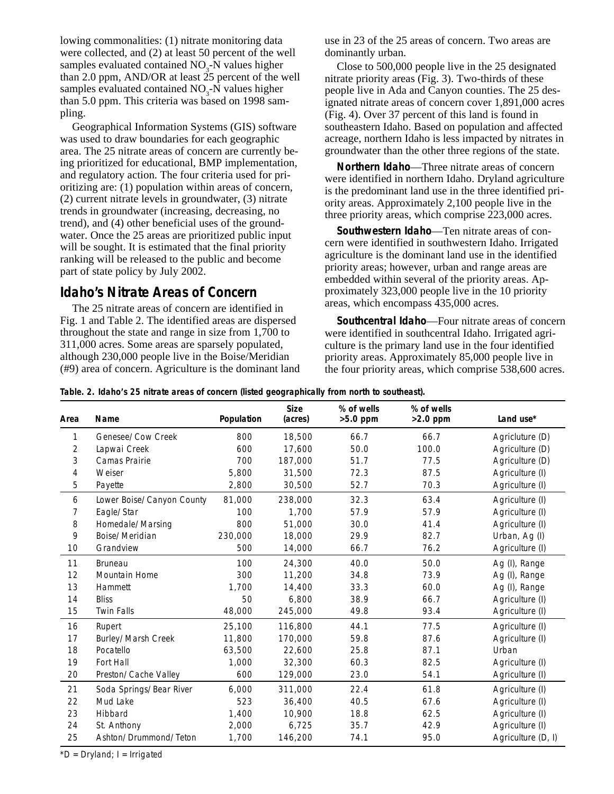lowing commonalities: (1) nitrate monitoring data were collected, and (2) at least 50 percent of the well samples evaluated contained  $NO<sub>3</sub>$ -N values higher than 2.0 ppm, AND/OR at least  $\tilde{25}$  percent of the well samples evaluated contained  $NO<sub>3</sub>$ -N values higher than 5.0 ppm. This criteria was based on 1998 sampling.

Geographical Information Systems (GIS) software was used to draw boundaries for each geographic area. The 25 nitrate areas of concern are currently being prioritized for educational, BMP implementation, and regulatory action. The four criteria used for prioritizing are: (1) population within areas of concern, (2) current nitrate levels in groundwater, (3) nitrate trends in groundwater (increasing, decreasing, no trend), and (4) other beneficial uses of the groundwater. Once the 25 areas are prioritized public input will be sought. It is estimated that the final priority ranking will be released to the public and become part of state policy by July 2002.

## **Idaho's Nitrate Areas of Concern**

The 25 nitrate areas of concern are identified in Fig. 1 and Table 2. The identified areas are dispersed throughout the state and range in size from 1,700 to 311,000 acres. Some areas are sparsely populated, although 230,000 people live in the Boise/Meridian (#9) area of concern. Agriculture is the dominant land use in 23 of the 25 areas of concern. Two areas are dominantly urban.

Close to 500,000 people live in the 25 designated nitrate priority areas (Fig. 3). Two-thirds of these people live in Ada and Canyon counties. The 25 designated nitrate areas of concern cover 1,891,000 acres (Fig. 4). Over 37 percent of this land is found in southeastern Idaho. Based on population and affected acreage, northern Idaho is less impacted by nitrates in groundwater than the other three regions of the state.

**Northern Idaho**—Three nitrate areas of concern were identified in northern Idaho. Dryland agriculture is the predominant land use in the three identified priority areas. Approximately 2,100 people live in the three priority areas, which comprise 223,000 acres.

**Southwestern Idaho**—Ten nitrate areas of concern were identified in southwestern Idaho. Irrigated agriculture is the dominant land use in the identified priority areas; however, urban and range areas are embedded within several of the priority areas. Approximately 323,000 people live in the 10 priority areas, which encompass 435,000 acres.

**Southcentral Idaho**—Four nitrate areas of concern were identified in southcentral Idaho. Irrigated agriculture is the primary land use in the four identified priority areas. Approximately 85,000 people live in the four priority areas, which comprise 538,600 acres.

**Table. 2. Idaho's 25 nitrate areas of concern (listed geographically from north to southeast).**

| Area | Name                      | Population | <b>Size</b><br>(acres) | % of wells<br>$>5.0$ ppm | % of wells<br>$>2.0$ ppm | Land use*          |
|------|---------------------------|------------|------------------------|--------------------------|--------------------------|--------------------|
| 1    | Genesee/Cow Creek         | 800        | 18,500                 | 66.7                     | 66.7                     | Agricluture (D)    |
| 2    | Lapwai Creek              | 600        | 17,600                 | 50.0                     | 100.0                    | Agriculture (D)    |
| 3    | Camas Prairie             | 700        | 187,000                | 51.7                     | 77.5                     | Agriculture (D)    |
| 4    | Weiser                    | 5,800      | 31,500                 | 72.3                     | 87.5                     | Agriculture (I)    |
| 5    | Payette                   | 2,800      | 30,500                 | 52.7                     | 70.3                     | Agriculture (I)    |
| 6    | Lower Boise/Canyon County | 81,000     | 238,000                | 32.3                     | 63.4                     | Agriculture (I)    |
| 7    | Eagle/Star                | 100        | 1,700                  | 57.9                     | 57.9                     | Agriculture (I)    |
| 8    | Homedale/Marsing          | 800        | 51,000                 | 30.0                     | 41.4                     | Agriculture (I)    |
| 9    | Boise/Meridian            | 230,000    | 18,000                 | 29.9                     | 82.7                     | Urban, Ag (I)      |
| 10   | Grandview                 | 500        | 14,000                 | 66.7                     | 76.2                     | Agriculture (I)    |
| 11   | <b>Bruneau</b>            | 100        | 24,300                 | 40.0                     | 50.0                     | Ag (I), Range      |
| 12   | <b>Mountain Home</b>      | 300        | 11,200                 | 34.8                     | 73.9                     | Ag (I), Range      |
| 13   | Hammett                   | 1,700      | 14,400                 | 33.3                     | 60.0                     | Ag (I), Range      |
| 14   | <b>Bliss</b>              | 50         | 6,800                  | 38.9                     | 66.7                     | Agriculture (I)    |
| 15   | <b>Twin Falls</b>         | 48,000     | 245,000                | 49.8                     | 93.4                     | Agriculture (I)    |
| 16   | Rupert                    | 25,100     | 116,800                | 44.1                     | 77.5                     | Agriculture (I)    |
| 17   | Burley/Marsh Creek        | 11,800     | 170,000                | 59.8                     | 87.6                     | Agriculture (I)    |
| 18   | Pocatello                 | 63,500     | 22,600                 | 25.8                     | 87.1                     | Urban              |
| 19   | Fort Hall                 | 1,000      | 32,300                 | 60.3                     | 82.5                     | Agriculture (I)    |
| 20   | Preston/Cache Valley      | 600        | 129,000                | 23.0                     | 54.1                     | Agriculture (I)    |
| 21   | Soda Springs/Bear River   | 6,000      | 311,000                | 22.4                     | 61.8                     | Agriculture (I)    |
| 22   | Mud Lake                  | 523        | 36,400                 | 40.5                     | 67.6                     | Agriculture (I)    |
| 23   | Hibbard                   | 1,400      | 10,900                 | 18.8                     | 62.5                     | Agriculture (I)    |
| 24   | St. Anthony               | 2,000      | 6,725                  | 35.7                     | 42.9                     | Agriculture (I)    |
| 25   | Ashton/Drummond/Teton     | 1,700      | 146,200                | 74.1                     | 95.0                     | Agriculture (D, I) |

 $*D = Dryland; I = Irrigated$